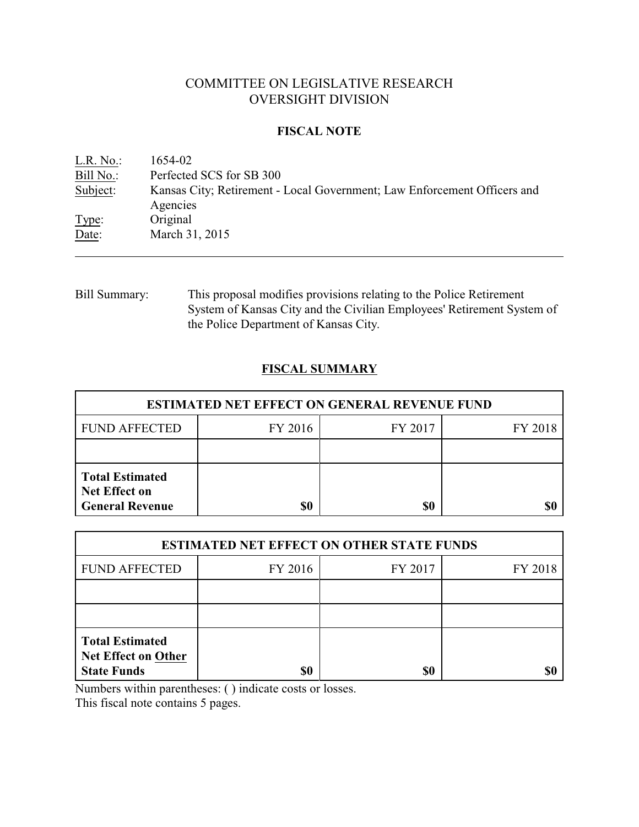# COMMITTEE ON LEGISLATIVE RESEARCH OVERSIGHT DIVISION

### **FISCAL NOTE**

<u>L.R. No.:</u> 1654-02<br>Bill No.: Perfected Perfected SCS for SB 300 Subject: Kansas City; Retirement - Local Government; Law Enforcement Officers and Agencies Type: Original Date: March 31, 2015

Bill Summary: This proposal modifies provisions relating to the Police Retirement System of Kansas City and the Civilian Employees' Retirement System of the Police Department of Kansas City.

## **FISCAL SUMMARY**

| <b>ESTIMATED NET EFFECT ON GENERAL REVENUE FUND</b>                      |         |         |         |  |
|--------------------------------------------------------------------------|---------|---------|---------|--|
| <b>FUND AFFECTED</b>                                                     | FY 2016 | FY 2017 | FY 2018 |  |
|                                                                          |         |         |         |  |
| <b>Total Estimated</b><br><b>Net Effect on</b><br><b>General Revenue</b> | \$0     | \$0     |         |  |

| <b>ESTIMATED NET EFFECT ON OTHER STATE FUNDS</b>                           |         |         |         |  |
|----------------------------------------------------------------------------|---------|---------|---------|--|
| <b>FUND AFFECTED</b>                                                       | FY 2016 | FY 2017 | FY 2018 |  |
|                                                                            |         |         |         |  |
|                                                                            |         |         |         |  |
| <b>Total Estimated</b><br><b>Net Effect on Other</b><br><b>State Funds</b> | \$0     | \$0     |         |  |

Numbers within parentheses: ( ) indicate costs or losses.

This fiscal note contains 5 pages.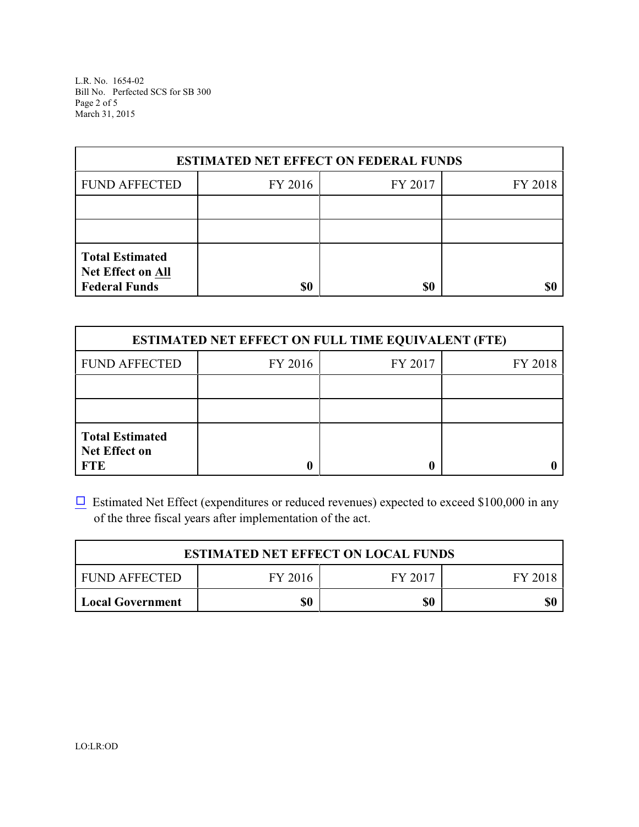L.R. No. 1654-02 Bill No. Perfected SCS for SB 300 Page 2 of 5 March 31, 2015

| <b>ESTIMATED NET EFFECT ON FEDERAL FUNDS</b>                        |         |         |         |  |
|---------------------------------------------------------------------|---------|---------|---------|--|
| <b>FUND AFFECTED</b>                                                | FY 2016 | FY 2017 | FY 2018 |  |
|                                                                     |         |         |         |  |
|                                                                     |         |         |         |  |
| <b>Total Estimated</b><br>Net Effect on All<br><b>Federal Funds</b> | \$0     | \$0     |         |  |

| <b>ESTIMATED NET EFFECT ON FULL TIME EQUIVALENT (FTE)</b>    |         |                    |  |  |  |
|--------------------------------------------------------------|---------|--------------------|--|--|--|
| <b>FUND AFFECTED</b>                                         | FY 2016 | FY 2017<br>FY 2018 |  |  |  |
|                                                              |         |                    |  |  |  |
|                                                              |         |                    |  |  |  |
| <b>Total Estimated</b><br><b>Net Effect on</b><br><b>FTE</b> |         |                    |  |  |  |

 $\Box$  Estimated Net Effect (expenditures or reduced revenues) expected to exceed \$100,000 in any of the three fiscal years after implementation of the act.

| <b>ESTIMATED NET EFFECT ON LOCAL FUNDS</b> |         |         |         |  |
|--------------------------------------------|---------|---------|---------|--|
| I FUND AFFECTED                            | FY 2016 | FY 2017 | FY 2018 |  |
| Local Government                           | \$0     | \$0     | \$0     |  |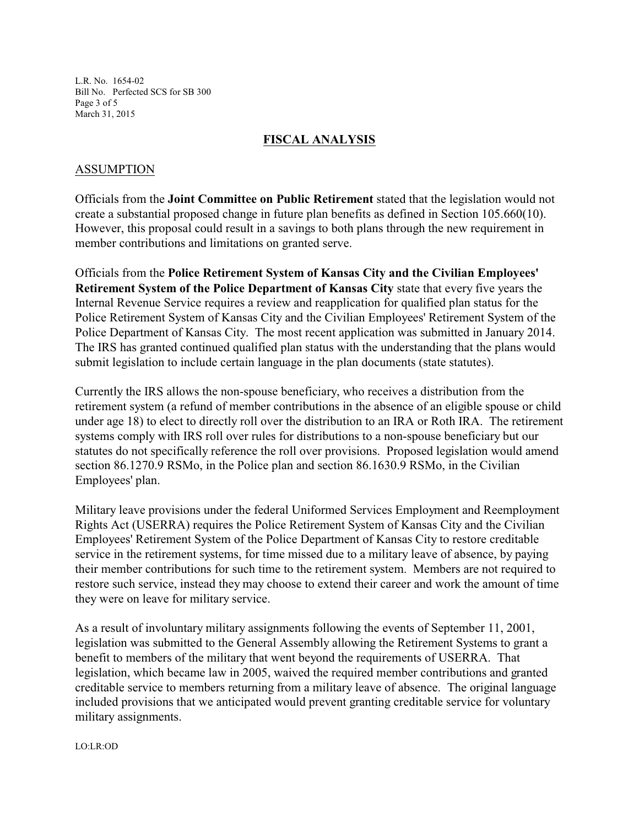L.R. No. 1654-02 Bill No. Perfected SCS for SB 300 Page 3 of 5 March 31, 2015

#### **FISCAL ANALYSIS**

#### ASSUMPTION

Officials from the **Joint Committee on Public Retirement** stated that the legislation would not create a substantial proposed change in future plan benefits as defined in Section 105.660(10). However, this proposal could result in a savings to both plans through the new requirement in member contributions and limitations on granted serve.

Officials from the **Police Retirement System of Kansas City and the Civilian Employees' Retirement System of the Police Department of Kansas City** state that every five years the Internal Revenue Service requires a review and reapplication for qualified plan status for the Police Retirement System of Kansas City and the Civilian Employees' Retirement System of the Police Department of Kansas City. The most recent application was submitted in January 2014. The IRS has granted continued qualified plan status with the understanding that the plans would submit legislation to include certain language in the plan documents (state statutes).

Currently the IRS allows the non-spouse beneficiary, who receives a distribution from the retirement system (a refund of member contributions in the absence of an eligible spouse or child under age 18) to elect to directly roll over the distribution to an IRA or Roth IRA. The retirement systems comply with IRS roll over rules for distributions to a non-spouse beneficiary but our statutes do not specifically reference the roll over provisions. Proposed legislation would amend section 86.1270.9 RSMo, in the Police plan and section 86.1630.9 RSMo, in the Civilian Employees' plan.

Military leave provisions under the federal Uniformed Services Employment and Reemployment Rights Act (USERRA) requires the Police Retirement System of Kansas City and the Civilian Employees' Retirement System of the Police Department of Kansas City to restore creditable service in the retirement systems, for time missed due to a military leave of absence, by paying their member contributions for such time to the retirement system. Members are not required to restore such service, instead they may choose to extend their career and work the amount of time they were on leave for military service.

As a result of involuntary military assignments following the events of September 11, 2001, legislation was submitted to the General Assembly allowing the Retirement Systems to grant a benefit to members of the military that went beyond the requirements of USERRA. That legislation, which became law in 2005, waived the required member contributions and granted creditable service to members returning from a military leave of absence. The original language included provisions that we anticipated would prevent granting creditable service for voluntary military assignments.

LO:LR:OD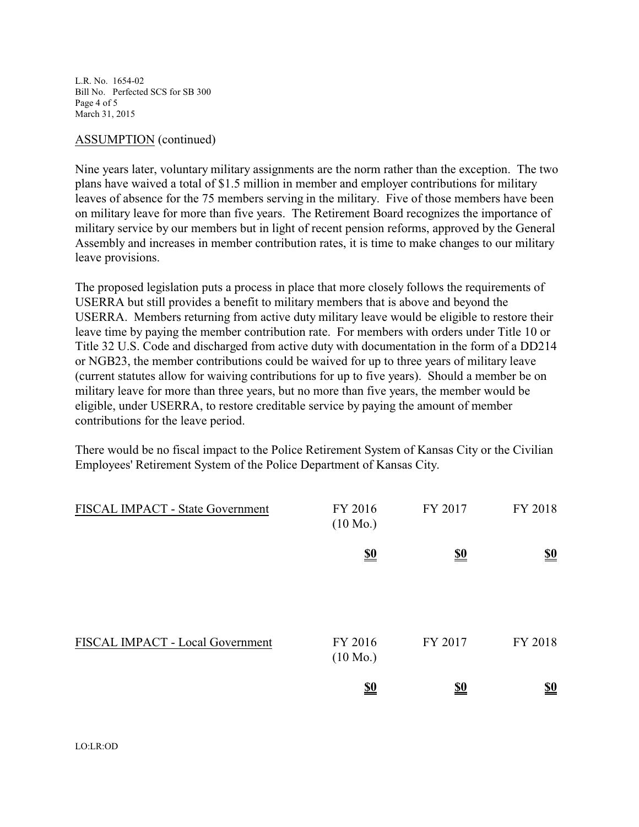L.R. No. 1654-02 Bill No. Perfected SCS for SB 300 Page 4 of 5 March 31, 2015

#### ASSUMPTION (continued)

Nine years later, voluntary military assignments are the norm rather than the exception. The two plans have waived a total of \$1.5 million in member and employer contributions for military leaves of absence for the 75 members serving in the military. Five of those members have been on military leave for more than five years. The Retirement Board recognizes the importance of military service by our members but in light of recent pension reforms, approved by the General Assembly and increases in member contribution rates, it is time to make changes to our military leave provisions.

The proposed legislation puts a process in place that more closely follows the requirements of USERRA but still provides a benefit to military members that is above and beyond the USERRA. Members returning from active duty military leave would be eligible to restore their leave time by paying the member contribution rate. For members with orders under Title 10 or Title 32 U.S. Code and discharged from active duty with documentation in the form of a DD214 or NGB23, the member contributions could be waived for up to three years of military leave (current statutes allow for waiving contributions for up to five years). Should a member be on military leave for more than three years, but no more than five years, the member would be eligible, under USERRA, to restore creditable service by paying the amount of member contributions for the leave period.

There would be no fiscal impact to the Police Retirement System of Kansas City or the Civilian Employees' Retirement System of the Police Department of Kansas City.

| FISCAL IMPACT - State Government | FY 2016<br>$(10 \text{ Mo.})$ | FY 2017                       | FY 2018                       |
|----------------------------------|-------------------------------|-------------------------------|-------------------------------|
|                                  | $\underline{\underline{\$0}}$ | $\underline{\underline{\$0}}$ | $\underline{\underline{\$0}}$ |
| FISCAL IMPACT - Local Government | FY 2016<br>$(10 \text{ Mo.})$ | FY 2017                       | FY 2018                       |
|                                  | <u>\$0</u>                    | <u>\$0</u>                    | <u>\$0</u>                    |